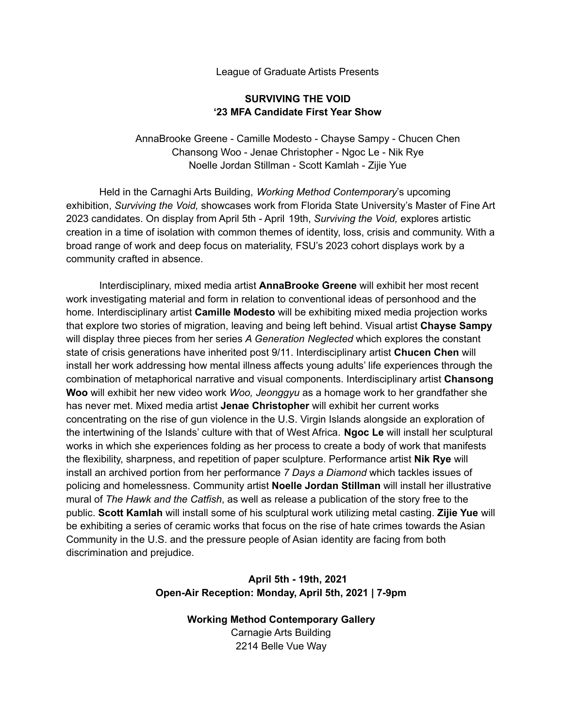League of Graduate Artists Presents

## **SURVIVING THE VOID '23 MFA Candidate First Year Show**

AnnaBrooke Greene - Camille Modesto - Chayse Sampy - Chucen Chen Chansong Woo - Jenae Christopher - Ngoc Le - Nik Rye Noelle Jordan Stillman - Scott Kamlah - Zijie Yue

Held in the Carnaghi Arts Building, *Working Method Contemporary*'s upcoming exhibition, *Surviving the Void,* showcases work from Florida State University's Master of Fine Art 2023 candidates. On display from April 5th - April 19th, *Surviving the Void,* explores artistic creation in a time of isolation with common themes of identity, loss, crisis and community. With a broad range of work and deep focus on materiality, FSU's 2023 cohort displays work by a community crafted in absence.

Interdisciplinary, mixed media artist **AnnaBrooke Greene** will exhibit her most recent work investigating material and form in relation to conventional ideas of personhood and the home. Interdisciplinary artist **Camille Modesto** will be exhibiting mixed media projection works that explore two stories of migration, leaving and being left behind. Visual artist **Chayse Sampy** will display three pieces from her series *A Generation Neglected* which explores the constant state of crisis generations have inherited post 9/11. Interdisciplinary artist **Chucen Chen** will install her work addressing how mental illness affects young adults' life experiences through the combination of metaphorical narrative and visual components. Interdisciplinary artist **Chansong Woo** will exhibit her new video work *Woo, Jeonggyu* as a homage work to her grandfather she has never met. Mixed media artist **Jenae Christopher** will exhibit her current works concentrating on the rise of gun violence in the U.S. Virgin Islands alongside an exploration of the intertwining of the Islands' culture with that of West Africa. **Ngoc Le** will install her sculptural works in which she experiences folding as her process to create a body of work that manifests the flexibility, sharpness, and repetition of paper sculpture. Performance artist **Nik Rye** will install an archived portion from her performance *7 Days a Diamond* which tackles issues of policing and homelessness. Community artist **Noelle Jordan Stillman** will install her illustrative mural of *The Hawk and the Catfish*, as well as release a publication of the story free to the public. **Scott Kamlah** will install some of his sculptural work utilizing metal casting. **Zijie Yue** will be exhibiting a series of ceramic works that focus on the rise of hate crimes towards the Asian Community in the U.S. and the pressure people of Asian identity are facing from both discrimination and prejudice.

## **April 5th - 19th, 2021 Open-Air Reception: Monday, April 5th, 2021 | 7-9pm**

**Working Method Contemporary Gallery** Carnagie Arts Building 2214 Belle Vue Way